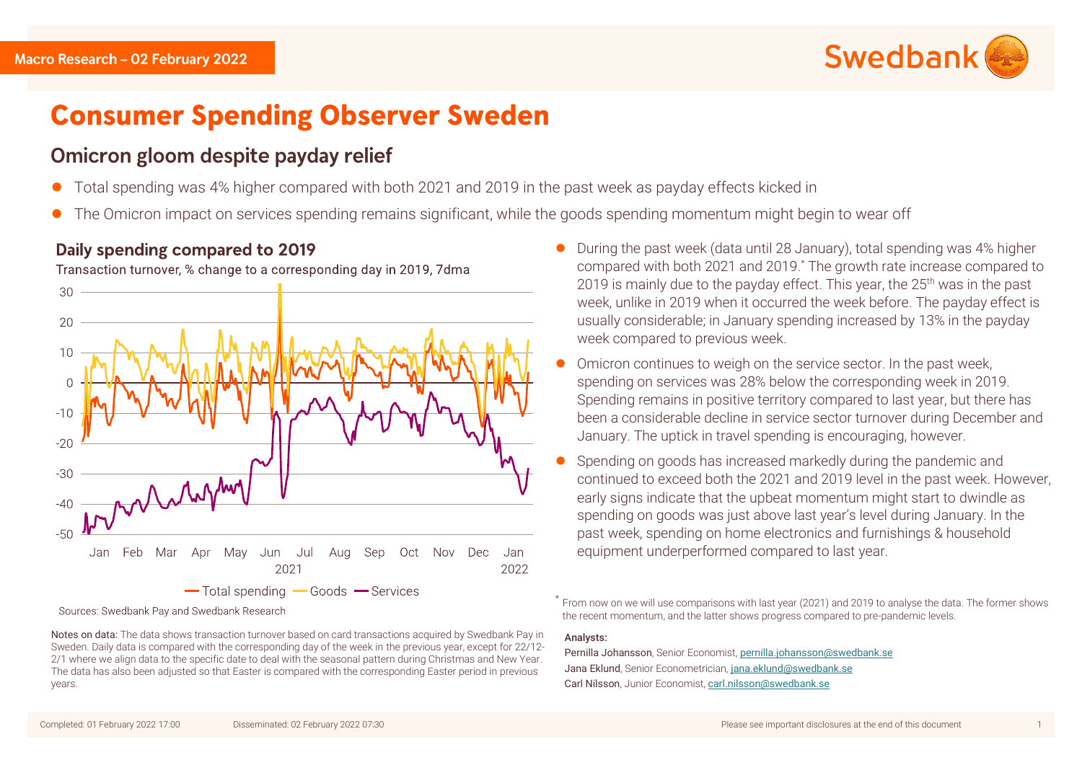

# **Consumer Spending Observer Sweden**

# Omicron gloom despite payday relief

- ⚫ Total spending was 4% higher compared with both 2021 and 2019 in the past week as payday effects kicked in
- ⚫ The Omicron impact on services spending remains significant, while the goods spending momentum might begin to wear off

## Daily spending compared to 2019

Transaction turnover, % change to a corresponding day in 2019, 7dma



Sources: Swedbank Pay and Swedbank Research

- ⚫ During the past week (data until 28 January), total spending was 4% higher compared with both 2021 and 2019. \* The growth rate increase compared to 2019 is mainly due to the payday effect. This year, the 25<sup>th</sup> was in the past week, unlike in 2019 when it occurred the week before. The payday effect is usually considerable; in January spending increased by 13% in the payday week compared to previous week.
- ⚫ Omicron continues to weigh on the service sector. In the past week, spending on services was 28% below the corresponding week in 2019. Spending remains in positive territory compared to last year, but there has been a considerable decline in service sector turnover during December and January. The uptick in travel spending is encouraging, however.
- ⚫ Spending on goods has increased markedly during the pandemic and continued to exceed both the 2021 and 2019 level in the past week. However, early signs indicate that the upbeat momentum might start to dwindle as spending on goods was just above last year's level during January. In the past week, spending on home electronics and furnishings & household equipment underperformed compared to last year.

\* From now on we will use comparisons with last year (2021) and 2019 to analyse the data. The former shows the recent momentum, and the latter shows progress compared to pre-pandemic levels.

#### Analysts:

Pernilla Johansson, Senior Economist, [pernilla.johansson@swedbank.se](mailto:pernilla.johansson@swedbank.se) Jana Eklund, Senior Econometrician, [jana.eklund@swedbank.se](mailto:jana.eklund@swedbank.se) Carl Nilsson, Junior Economist, [carl.nilsson@swedbank.se](mailto:carl.nilsson@swedbank.se)

Notes on data: The data shows transaction turnover based on card transactions acquired by Swedbank Pay in Sweden. Daily data is compared with the corresponding day of the week in the previous year, except for 22/12- 2/1 where we align data to the specific date to deal with the seasonal pattern during Christmas and New Year. The data has also been adjusted so that Easter is compared with the corresponding Easter period in previous years.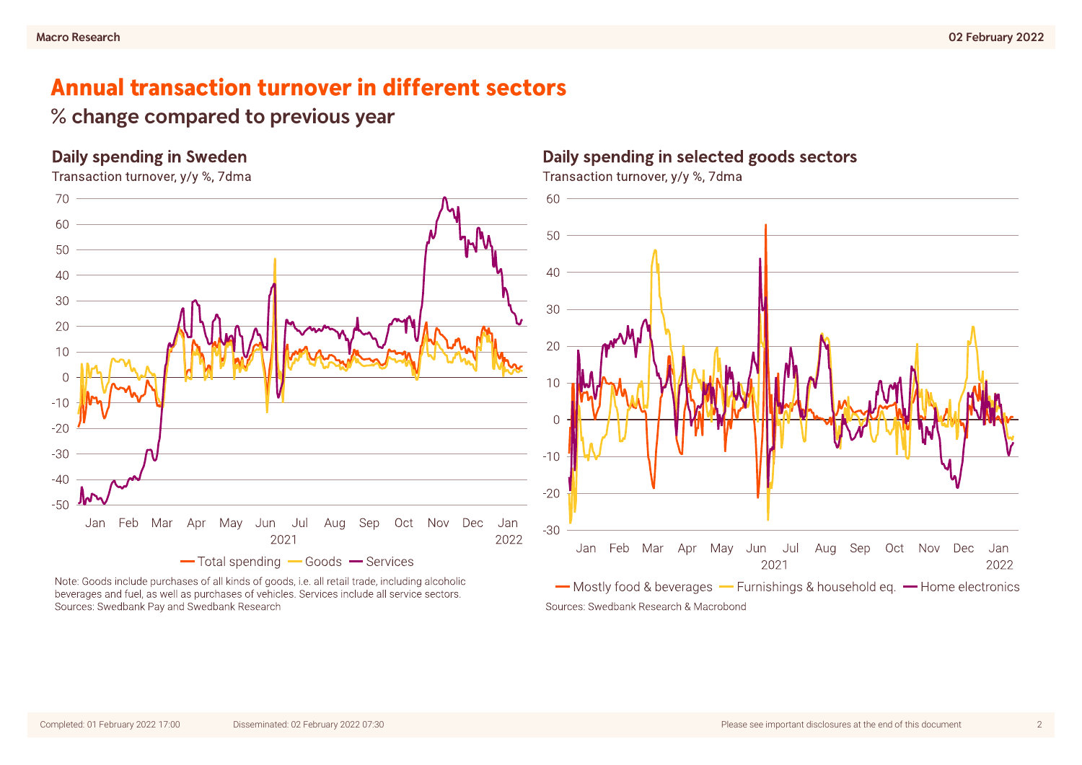# **Annual transaction turnover in different sectors**

## % change compared to previous year

## **Daily spending in Sweden**



Note: Goods include purchases of all kinds of goods, i.e. all retail trade, including alcoholic beverages and fuel, as well as purchases of vehicles. Services include all service sectors. Sources: Swedbank Pay and Swedbank Research

## Daily spending in selected goods sectors

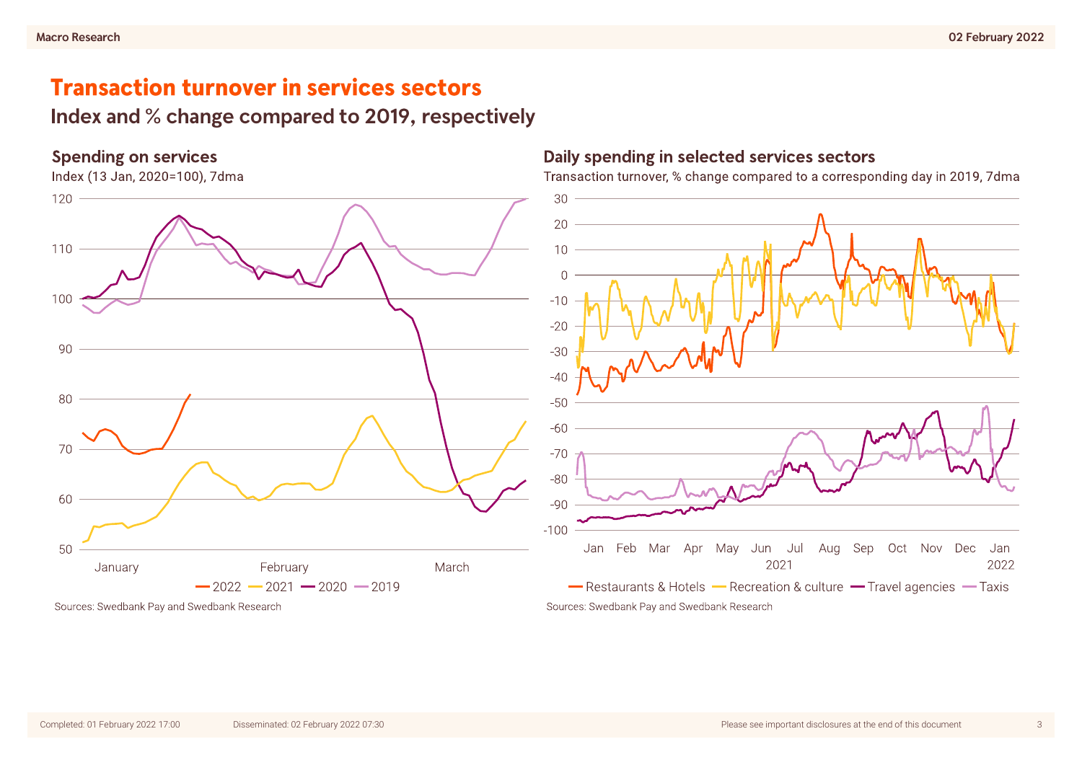# **Transaction turnover in services sectors**

Index and % change compared to 2019, respectively

### **Spending on services**

Index (13 Jan, 2020=100), 7dma



### Daily spending in selected services sectors

Transaction turnover, % change compared to a corresponding day in 2019, 7dma



Sources: Swedbank Pay and Swedbank Research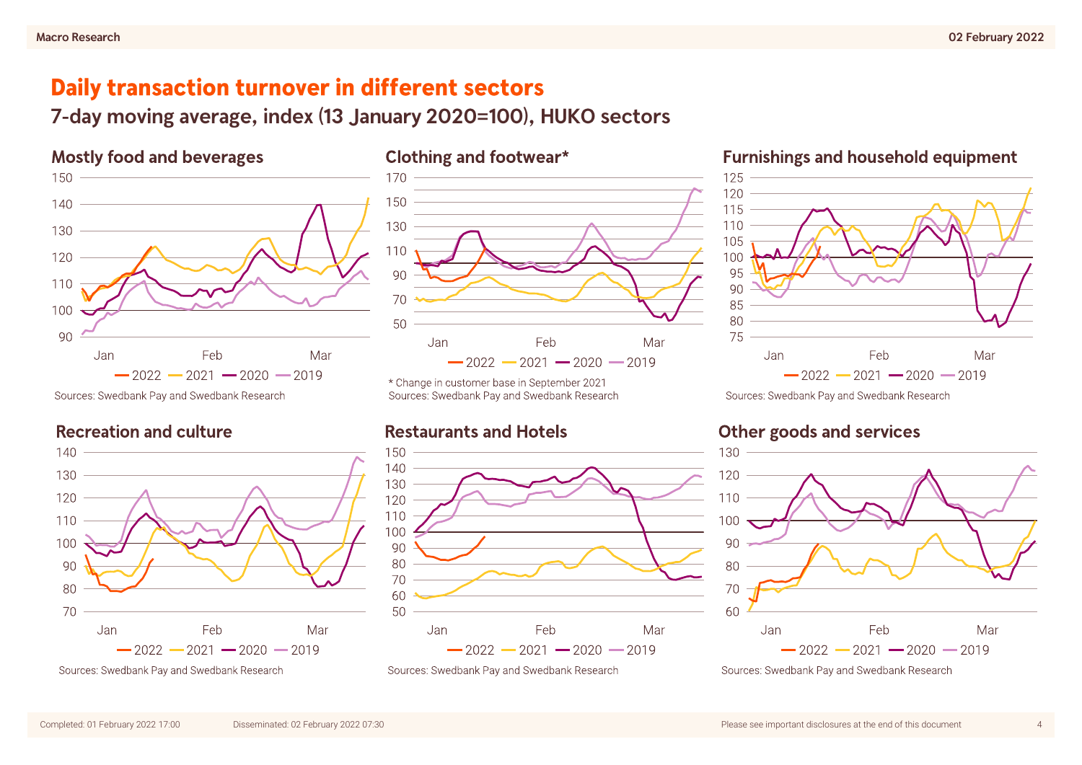# Daily transaction turnover in different sectors

7-day moving average, index (13 January 2020=100), HUKO sectors

## **Mostly food and beverages**



Sources: Swedbank Pay and Swedbank Research

## **Recreation and culture**



Sources: Swedbank Pay and Swedbank Research



\* Change in customer base in September 2021 Sources: Swedbank Pay and Swedbank Research

## **Restaurants and Hotels**



Sources: Swedbank Pay and Swedbank Research

### **Furnishings and household equipment**



Sources: Swedbank Pay and Swedbank Research

## **Other goods and services**



Sources: Swedbank Pay and Swedbank Research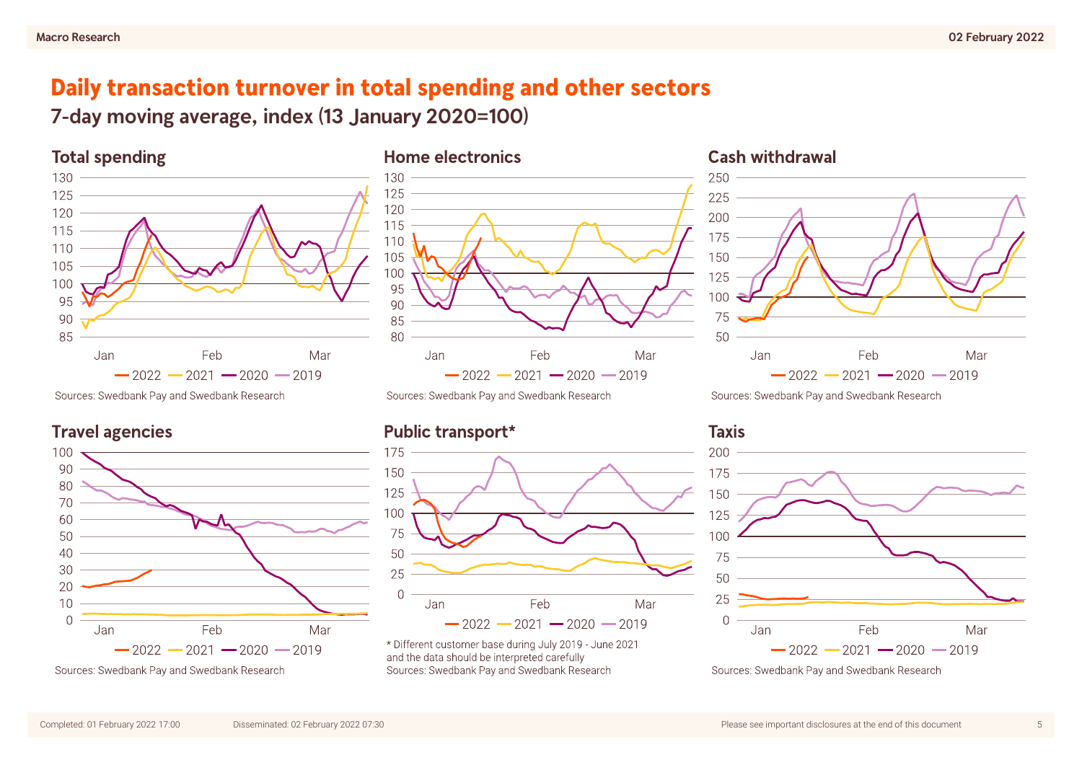# Daily transaction turnover in total spending and other sectors

7-day moving average, index (13 January 2020=100)



Sources: Swedbank Pay and Swedbank Research

**Travel agencies** 



Sources: Swedbank Pay and Swedbank Research



Sources: Swedbank Pay and Swedbank Research

## Public transport\*



\* Different customer base during July 2019 - June 2021 and the data should be interpreted carefully Sources: Swedbank Pay and Swedbank Research



Sources: Swedbank Pay and Swedbank Research





Sources: Swedbank Pay and Swedbank Research